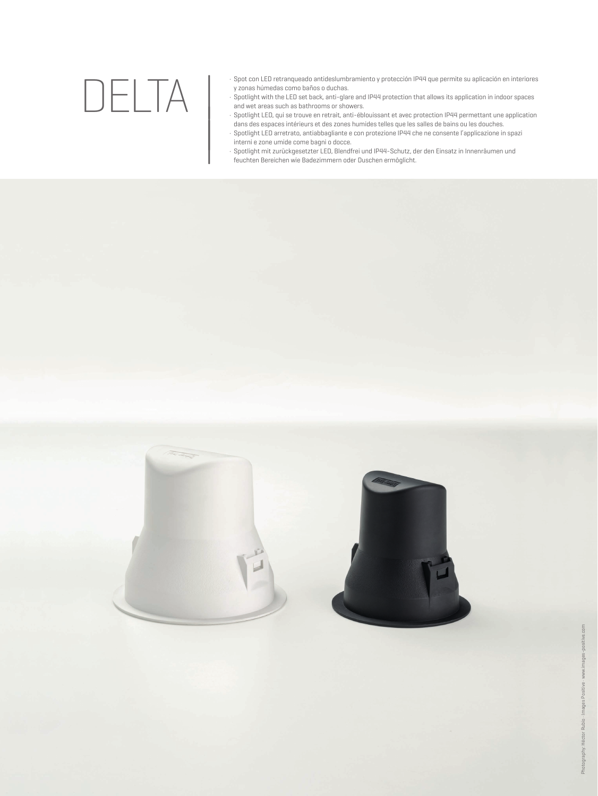## DELTA

|

- · Spot con LED retranqueado antideslumbramiento y protección IP44 que permite su aplicación en interiores y zonas húmedas como baños o duchas.
- · Spotlight with the LED set back, anti-glare and IP44 protection that allows its application in indoor spaces and wet areas such as bathrooms or showers.
- · Spotlight LED, qui se trouve en retrait, anti-éblouissant et avec protection IP44 permettant une application
- dans des espaces intérieurs et des zones humides telles que les salles de bains ou les douches.<br>dans des espaces intérieurs et des zones humides telles que les salles de bains ou les douches.<br>Spotlight mit zurückgesetzter · Spotlight LED arretrato, antiabbagliante e con protezione IP44 che ne consente l'applicazione in spazi interni e zone umide come bagni o docce.
	- Spotlight mit zurückgesetzter LED, Blendfrei und IP44-Schutz, der den Einsatz in Innenräumen und<br>feuchten Bereichen wie Badezimmern oder Duschen ermöglicht.